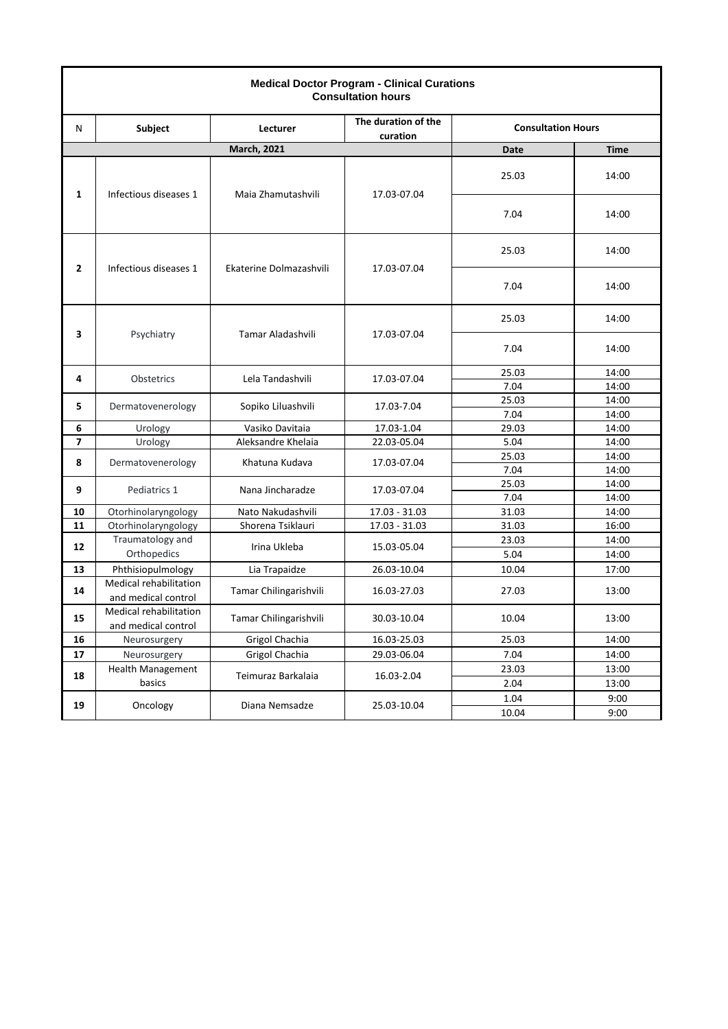| <b>Medical Doctor Program - Clinical Curations</b><br><b>Consultation hours</b> |                                               |                         |                                 |             |                           |      |
|---------------------------------------------------------------------------------|-----------------------------------------------|-------------------------|---------------------------------|-------------|---------------------------|------|
| Ν                                                                               | <b>Subject</b>                                | Lecturer                | The duration of the<br>curation |             | <b>Consultation Hours</b> |      |
|                                                                                 |                                               | <b>March, 2021</b>      |                                 | Date        | <b>Time</b>               |      |
| 1                                                                               | Infectious diseases 1                         | Maia Zhamutashvili      | 17.03-07.04                     | 25.03       | 14:00                     |      |
|                                                                                 |                                               |                         |                                 | 7.04        | 14:00                     |      |
| 2                                                                               | Infectious diseases 1                         | Ekaterine Dolmazashvili | 17.03-07.04                     | 25.03       | 14:00                     |      |
|                                                                                 |                                               |                         |                                 | 7.04        | 14:00                     |      |
| 3                                                                               | Psychiatry                                    | Tamar Aladashvili       | 17.03-07.04                     | 25.03       | 14:00                     |      |
|                                                                                 |                                               |                         |                                 | 7.04        | 14:00                     |      |
| 4                                                                               |                                               | Lela Tandashvili        | 17.03-07.04                     | 25.03       | 14:00                     |      |
|                                                                                 | Obstetrics                                    |                         |                                 | 7.04        | 14:00                     |      |
| 5                                                                               | Dermatovenerology                             | Sopiko Liluashvili      | 17.03-7.04                      | 25.03       | 14:00                     |      |
|                                                                                 |                                               |                         |                                 | 7.04        | 14:00                     |      |
| 6                                                                               | Urology                                       | Vasiko Davitaia         | 17.03-1.04                      | 29.03       | 14:00                     |      |
| $\overline{\phantom{a}}$                                                        | Urology                                       | Aleksandre Khelaia      | 22.03-05.04                     | 5.04        | 14:00                     |      |
| 8                                                                               | Dermatovenerology                             | Khatuna Kudava          | 17.03-07.04                     | 25.03       | 14:00                     |      |
|                                                                                 |                                               |                         |                                 | 7.04        | 14:00                     |      |
| 9                                                                               | Pediatrics 1                                  | Nana Jincharadze        | 17.03-07.04                     | 25.03       | 14:00                     |      |
|                                                                                 |                                               |                         |                                 | 7.04        | 14:00                     |      |
| 10                                                                              | Otorhinolaryngology                           | Nato Nakudashvili       | $17.03 - 31.03$                 | 31.03       | 14:00                     |      |
| 11                                                                              | Otorhinolaryngology                           | Shorena Tsiklauri       | $17.03 - 31.03$                 | 31.03       | 16:00                     |      |
| 12                                                                              | Traumatology and                              | Irina Ukleba            | 15.03-05.04                     | 23.03       | 14:00                     |      |
|                                                                                 | Orthopedics                                   |                         |                                 | 5.04        | 14:00                     |      |
| 13                                                                              | Phthisiopulmology                             | Lia Trapaidze           | 26.03-10.04                     | 10.04       | 17:00                     |      |
| 14                                                                              | Medical rehabilitation<br>and medical control | Tamar Chilingarishvili  | 16.03-27.03                     | 27.03       | 13:00                     |      |
| 15                                                                              | Medical rehabilitation<br>and medical control | Tamar Chilingarishvili  | 30.03-10.04                     | 10.04       | 13:00                     |      |
| 16                                                                              | Neurosurgery                                  | Grigol Chachia          | 16.03-25.03                     | 25.03       | 14:00                     |      |
| 17                                                                              | Neurosurgery                                  | Grigol Chachia          | 29.03-06.04                     | 7.04        | 14:00                     |      |
| 18                                                                              | Health Management                             | Teimuraz Barkalaia      | 16.03-2.04                      | 23.03       | 13:00                     |      |
|                                                                                 | basics                                        |                         |                                 | 2.04        | 13:00                     |      |
| 19                                                                              | Oncology                                      | Diana Nemsadze          |                                 | 1.04        | 9:00                      |      |
|                                                                                 |                                               |                         |                                 | 25.03-10.04 | 10.04                     | 9:00 |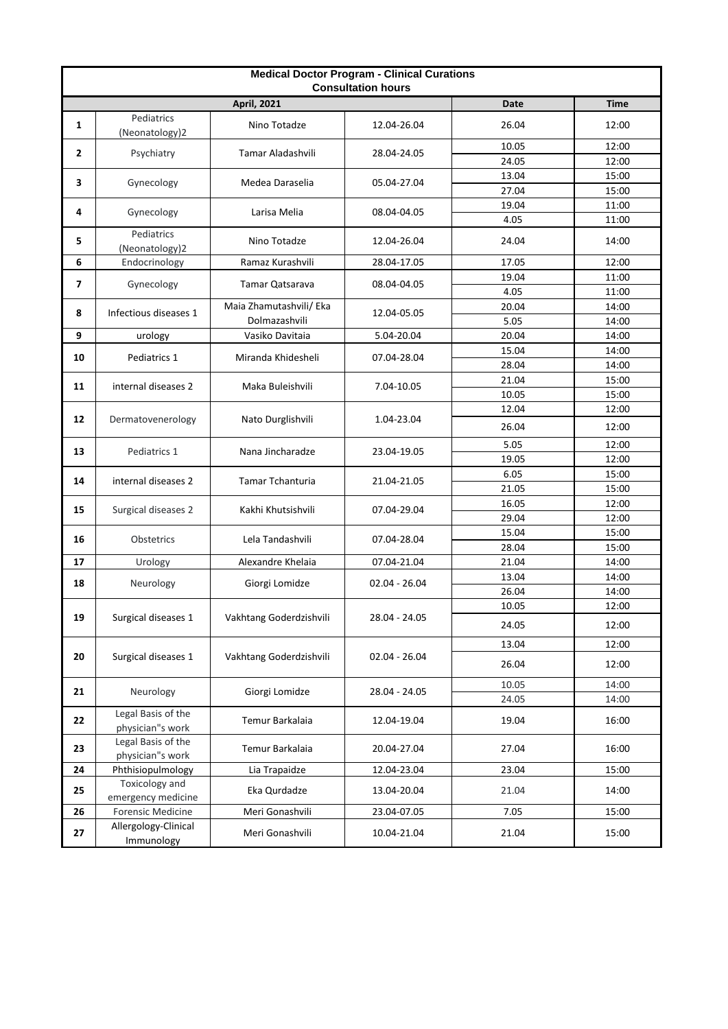| <b>Medical Doctor Program - Clinical Curations</b><br><b>Consultation hours</b> |                                        |                         |                 |                |                |
|---------------------------------------------------------------------------------|----------------------------------------|-------------------------|-----------------|----------------|----------------|
|                                                                                 |                                        | <b>April, 2021</b>      |                 | Date           | <b>Time</b>    |
| $\mathbf{1}$                                                                    | Pediatrics<br>(Neonatology)2           | Nino Totadze            | 12.04-26.04     | 26.04          | 12:00          |
| 2                                                                               | Psychiatry                             | Tamar Aladashvili       | 28.04-24.05     | 10.05<br>24.05 | 12:00<br>12:00 |
|                                                                                 |                                        |                         |                 | 13.04          | 15:00          |
| 3                                                                               | Gynecology                             | Medea Daraselia         | 05.04-27.04     | 27.04          | 15:00          |
|                                                                                 |                                        |                         |                 | 19.04          | 11:00          |
| 4                                                                               | Gynecology                             | Larisa Melia            | 08.04-04.05     | 4.05           | 11:00          |
| 5                                                                               | Pediatrics<br>(Neonatology)2           | Nino Totadze            | 12.04-26.04     | 24.04          | 14:00          |
| 6                                                                               | Endocrinology                          | Ramaz Kurashvili        | 28.04-17.05     | 17.05          | 12:00          |
| $\overline{\phantom{a}}$                                                        | Gynecology                             | Tamar Qatsarava         | 08.04-04.05     | 19.04          | 11:00          |
|                                                                                 |                                        |                         |                 | 4.05           | 11:00          |
| 8                                                                               | Infectious diseases 1                  | Maia Zhamutashvili/ Eka | 12.04-05.05     | 20.04          | 14:00          |
|                                                                                 |                                        | Dolmazashvili           |                 | 5.05           | 14:00          |
| 9                                                                               | urology                                | Vasiko Davitaia         | 5.04-20.04      | 20.04          | 14:00          |
| 10                                                                              | Pediatrics 1                           | Miranda Khidesheli      | 07.04-28.04     | 15.04          | 14:00          |
|                                                                                 |                                        |                         |                 | 28.04          | 14:00          |
| 11                                                                              | internal diseases 2                    | Maka Buleishvili        | 7.04-10.05      | 21.04          | 15:00          |
|                                                                                 |                                        |                         |                 | 10.05<br>12.04 | 15:00<br>12:00 |
| 12                                                                              | Dermatovenerology                      | Nato Durglishvili       | 1.04-23.04      | 26.04          | 12:00          |
|                                                                                 |                                        |                         |                 | 5.05           | 12:00          |
| 13                                                                              | Pediatrics 1                           | Nana Jincharadze        | 23.04-19.05     | 19.05          | 12:00          |
| 14                                                                              | internal diseases 2                    | <b>Tamar Tchanturia</b> | 21.04-21.05     | 6.05           | 15:00          |
|                                                                                 |                                        |                         |                 | 21.05          | 15:00          |
| 15                                                                              | Surgical diseases 2                    | Kakhi Khutsishvili      | 07.04-29.04     | 16.05          | 12:00          |
|                                                                                 |                                        |                         |                 | 29.04          | 12:00          |
| 16                                                                              | Obstetrics                             | Lela Tandashvili        | 07.04-28.04     | 15.04          | 15:00          |
|                                                                                 |                                        |                         |                 | 28.04          | 15:00          |
| 17                                                                              | Urology                                | Alexandre Khelaia       | 07.04-21.04     | 21.04          | 14:00          |
| 18                                                                              | Neurology                              | Giorgi Lomidze          | $02.04 - 26.04$ | 13.04<br>26.04 | 14:00<br>14:00 |
|                                                                                 |                                        |                         |                 | 10.05          | 12:00          |
| 19                                                                              | Surgical diseases 1                    | Vakhtang Goderdzishvili | 28.04 - 24.05   | 24.05          | 12:00          |
|                                                                                 | Surgical diseases 1                    | Vakhtang Goderdzishvili | $02.04 - 26.04$ | 13.04          | 12:00          |
| 20                                                                              |                                        |                         |                 | 26.04          | 12:00          |
|                                                                                 |                                        |                         |                 | 10.05          | 14:00          |
| 21                                                                              | Neurology                              | Giorgi Lomidze          | 28.04 - 24.05   | 24.05          | 14:00          |
| 22                                                                              | Legal Basis of the<br>physician"s work | Temur Barkalaia         | 12.04-19.04     | 19.04          | 16:00          |
| 23                                                                              | Legal Basis of the<br>physician"s work | Temur Barkalaia         | 20.04-27.04     | 27.04          | 16:00          |
| 24                                                                              | Phthisiopulmology                      | Lia Trapaidze           | 12.04-23.04     | 23.04          | 15:00          |
| 25                                                                              | Toxicology and<br>emergency medicine   | Eka Qurdadze            | 13.04-20.04     | 21.04          | 14:00          |
| 26                                                                              | <b>Forensic Medicine</b>               | Meri Gonashvili         | 23.04-07.05     | 7.05           | 15:00          |
| 27                                                                              | Allergology-Clinical<br>Immunology     | Meri Gonashvili         | 10.04-21.04     | 21.04          | 15:00          |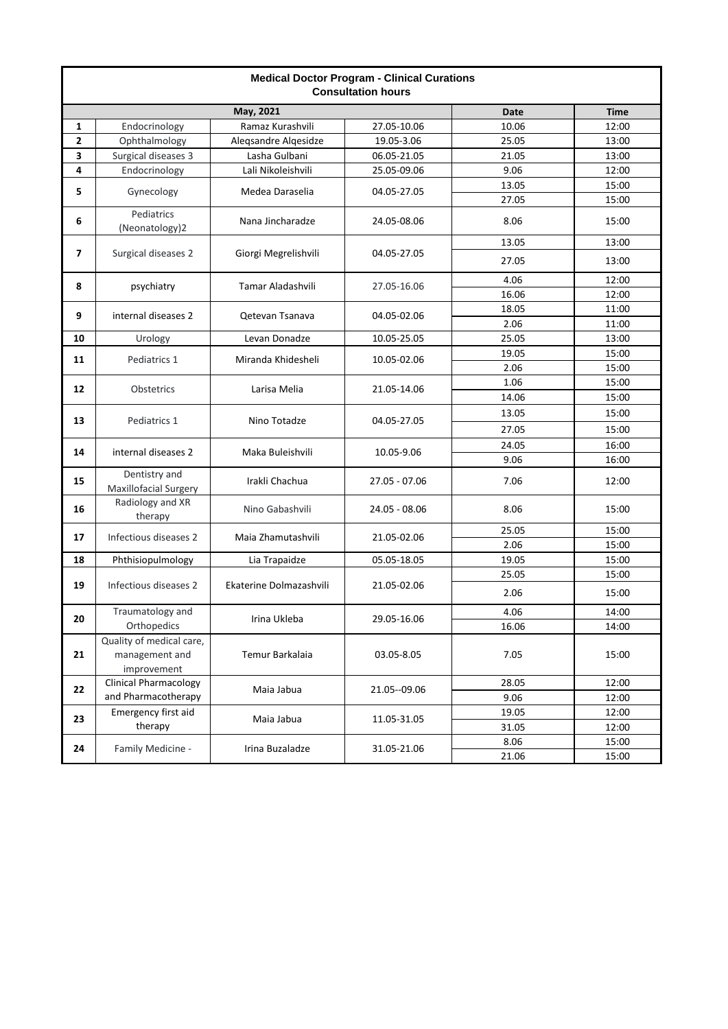| <b>Medical Doctor Program - Clinical Curations</b><br><b>Consultation hours</b> |                                                           |                         |               |             |             |
|---------------------------------------------------------------------------------|-----------------------------------------------------------|-------------------------|---------------|-------------|-------------|
| May, 2021                                                                       |                                                           |                         |               | <b>Date</b> | <b>Time</b> |
| 1                                                                               | Endocrinology                                             | Ramaz Kurashvili        | 27.05-10.06   | 10.06       | 12:00       |
| 2                                                                               | Ophthalmology                                             | Aleqsandre Alqesidze    | 19.05-3.06    | 25.05       | 13:00       |
| 3                                                                               | Surgical diseases 3                                       | Lasha Gulbani           | 06.05-21.05   | 21.05       | 13:00       |
| 4                                                                               | Endocrinology                                             | Lali Nikoleishvili      | 25.05-09.06   | 9.06        | 12:00       |
| 5                                                                               | Gynecology                                                | Medea Daraselia         | 04.05-27.05   | 13.05       | 15:00       |
|                                                                                 |                                                           |                         |               | 27.05       | 15:00       |
| 6                                                                               | Pediatrics<br>(Neonatology)2                              | Nana Jincharadze        | 24.05-08.06   | 8.06        | 15:00       |
|                                                                                 |                                                           | Giorgi Megrelishvili    | 04.05-27.05   | 13.05       | 13:00       |
| $\overline{7}$                                                                  | Surgical diseases 2                                       |                         |               | 27.05       | 13:00       |
| 8                                                                               | psychiatry                                                | Tamar Aladashvili       | 27.05-16.06   | 4.06        | 12:00       |
|                                                                                 |                                                           |                         |               | 16.06       | 12:00       |
| 9                                                                               | internal diseases 2                                       | Qetevan Tsanava         | 04.05-02.06   | 18.05       | 11:00       |
|                                                                                 |                                                           |                         |               | 2.06        | 11:00       |
| 10                                                                              | Urology                                                   | Levan Donadze           | 10.05-25.05   | 25.05       | 13:00       |
| 11                                                                              | Pediatrics 1                                              | Miranda Khidesheli      | 10.05-02.06   | 19.05       | 15:00       |
|                                                                                 |                                                           |                         |               | 2.06        | 15:00       |
| 12                                                                              | Obstetrics                                                | Larisa Melia            | 21.05-14.06   | 1.06        | 15:00       |
|                                                                                 |                                                           |                         |               | 14.06       | 15:00       |
| 13                                                                              | Pediatrics 1                                              | Nino Totadze            | 04.05-27.05   | 13.05       | 15:00       |
|                                                                                 |                                                           |                         |               | 27.05       | 15:00       |
| 14                                                                              | internal diseases 2                                       | Maka Buleishvili        | 10.05-9.06    | 24.05       | 16:00       |
|                                                                                 |                                                           |                         |               | 9.06        | 16:00       |
| 15                                                                              | Dentistry and<br>Maxillofacial Surgery                    | Irakli Chachua          | 27.05 - 07.06 | 7.06        | 12:00       |
| 16                                                                              | Radiology and XR<br>therapy                               | Nino Gabashvili         | 24.05 - 08.06 | 8.06        | 15:00       |
| 17                                                                              | Infectious diseases 2                                     | Maia Zhamutashvili      | 21.05-02.06   | 25.05       | 15:00       |
|                                                                                 |                                                           |                         |               | 2.06        | 15:00       |
| 18                                                                              | Phthisiopulmology                                         | Lia Trapaidze           | 05.05-18.05   | 19.05       | 15:00       |
|                                                                                 | Infectious diseases 2                                     | Ekaterine Dolmazashvili | 21.05-02.06   | 25.05       | 15:00       |
| 19                                                                              |                                                           |                         |               | 2.06        | 15:00       |
| 20                                                                              | Traumatology and                                          | Irina Ukleba            | 29.05-16.06   | 4.06        | 14:00       |
|                                                                                 | Orthopedics                                               |                         |               | 16.06       | 14:00       |
| 21                                                                              | Quality of medical care,<br>management and<br>improvement | Temur Barkalaia         | 03.05-8.05    | 7.05        | 15:00       |
|                                                                                 | <b>Clinical Pharmacology</b>                              |                         |               | 28.05       | 12:00       |
| 22                                                                              | and Pharmacotherapy                                       | Maia Jabua              | 21.05--09.06  | 9.06        | 12:00       |
|                                                                                 | Emergency first aid<br>therapy                            | Maia Jabua              | 11.05-31.05   | 19.05       | 12:00       |
| 23                                                                              |                                                           |                         |               | 31.05       | 12:00       |
|                                                                                 | Family Medicine -                                         | Irina Buzaladze         | 31.05-21.06   | 8.06        | 15:00       |
| 24                                                                              |                                                           |                         |               | 21.06       | 15:00       |